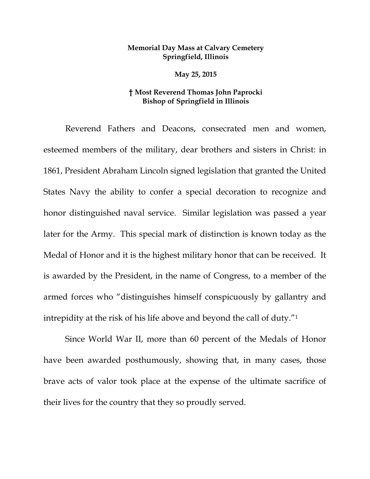## **Memorial Day Mass at Calvary Cemetery Springfield, Illinois**

**May 25, 2015**

## **† Most Reverend Thomas John Paprocki Bishop of Springfield in Illinois**

Reverend Fathers and Deacons, consecrated men and women, esteemed members of the military, dear brothers and sisters in Christ: in 1861, President Abraham Lincoln signed legislation that granted the United States Navy the ability to confer a special decoration to recognize and honor distinguished naval service. Similar legislation was passed a year later for the Army. This special mark of distinction is known today as the Medal of Honor and it is the highest military honor that can be received. It is awarded by the President, in the name of Congress, to a member of the armed forces who "distinguishes himself conspicuously by gallantry and intrepidity at the risk of his life above and beyond the call of duty."<sup>1</sup>

Since World War II, more than 60 percent of the Medals of Honor have been awarded posthumously, showing that, in many cases, those brave acts of valor took place at the expense of the ultimate sacrifice of their lives for the country that they so proudly served.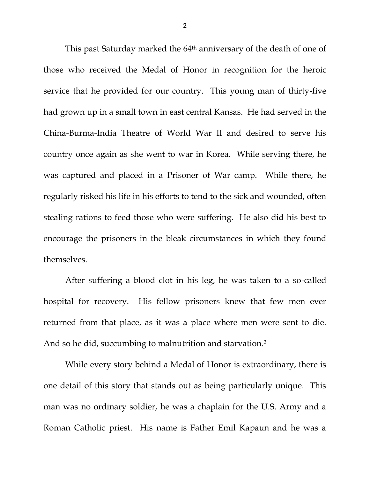This past Saturday marked the 64<sup>th</sup> anniversary of the death of one of those who received the Medal of Honor in recognition for the heroic service that he provided for our country. This young man of thirty-five had grown up in a small town in east central Kansas. He had served in the China-Burma-India Theatre of World War II and desired to serve his country once again as she went to war in Korea. While serving there, he was captured and placed in a Prisoner of War camp. While there, he regularly risked his life in his efforts to tend to the sick and wounded, often stealing rations to feed those who were suffering. He also did his best to encourage the prisoners in the bleak circumstances in which they found themselves.

After suffering a blood clot in his leg, he was taken to a so-called hospital for recovery. His fellow prisoners knew that few men ever returned from that place, as it was a place where men were sent to die. And so he did, succumbing to malnutrition and starvation.<sup>2</sup>

While every story behind a Medal of Honor is extraordinary, there is one detail of this story that stands out as being particularly unique. This man was no ordinary soldier, he was a chaplain for the U.S. Army and a Roman Catholic priest. His name is Father Emil Kapaun and he was a

2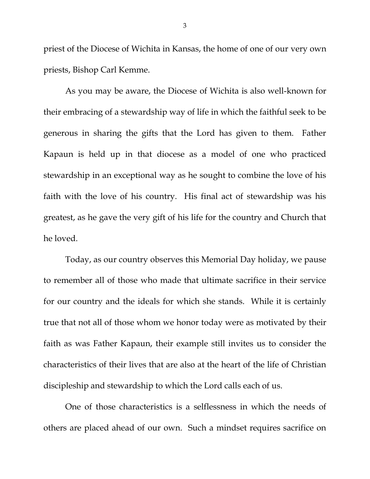priest of the Diocese of Wichita in Kansas, the home of one of our very own priests, Bishop Carl Kemme.

As you may be aware, the Diocese of Wichita is also well-known for their embracing of a stewardship way of life in which the faithful seek to be generous in sharing the gifts that the Lord has given to them. Father Kapaun is held up in that diocese as a model of one who practiced stewardship in an exceptional way as he sought to combine the love of his faith with the love of his country. His final act of stewardship was his greatest, as he gave the very gift of his life for the country and Church that he loved.

Today, as our country observes this Memorial Day holiday, we pause to remember all of those who made that ultimate sacrifice in their service for our country and the ideals for which she stands. While it is certainly true that not all of those whom we honor today were as motivated by their faith as was Father Kapaun, their example still invites us to consider the characteristics of their lives that are also at the heart of the life of Christian discipleship and stewardship to which the Lord calls each of us.

One of those characteristics is a selflessness in which the needs of others are placed ahead of our own. Such a mindset requires sacrifice on

3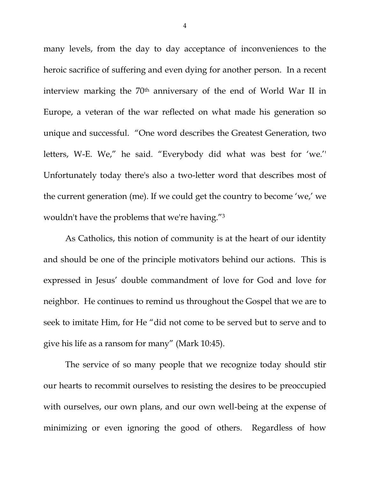many levels, from the day to day acceptance of inconveniences to the heroic sacrifice of suffering and even dying for another person. In a recent interview marking the 70th anniversary of the end of World War II in Europe, a veteran of the war reflected on what made his generation so unique and successful. "One word describes the Greatest Generation, two letters, W-E. We," he said. "Everybody did what was best for 'we.'' Unfortunately today there's also a two-letter word that describes most of the current generation (me). If we could get the country to become 'we,' we wouldn't have the problems that we're having."<sup>3</sup>

As Catholics, this notion of community is at the heart of our identity and should be one of the principle motivators behind our actions. This is expressed in Jesus' double commandment of love for God and love for neighbor. He continues to remind us throughout the Gospel that we are to seek to imitate Him, for He "did not come to be served but to serve and to give his life as a ransom for many" (Mark 10:45).

The service of so many people that we recognize today should stir our hearts to recommit ourselves to resisting the desires to be preoccupied with ourselves, our own plans, and our own well-being at the expense of minimizing or even ignoring the good of others. Regardless of how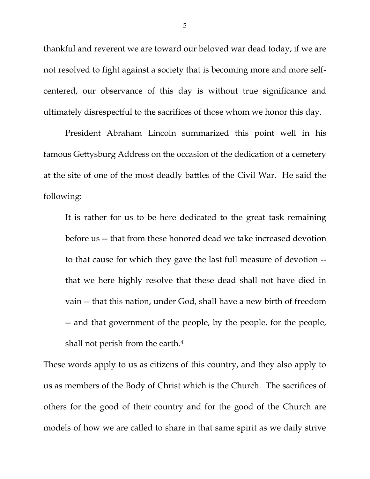thankful and reverent we are toward our beloved war dead today, if we are not resolved to fight against a society that is becoming more and more selfcentered, our observance of this day is without true significance and ultimately disrespectful to the sacrifices of those whom we honor this day.

President Abraham Lincoln summarized this point well in his famous Gettysburg Address on the occasion of the dedication of a cemetery at the site of one of the most deadly battles of the Civil War. He said the following:

It is rather for us to be here dedicated to the great task remaining before us -- that from these honored dead we take increased devotion to that cause for which they gave the last full measure of devotion - that we here highly resolve that these dead shall not have died in vain -- that this nation, under God, shall have a new birth of freedom -- and that government of the people, by the people, for the people, shall not perish from the earth.<sup>4</sup>

These words apply to us as citizens of this country, and they also apply to us as members of the Body of Christ which is the Church. The sacrifices of others for the good of their country and for the good of the Church are models of how we are called to share in that same spirit as we daily strive